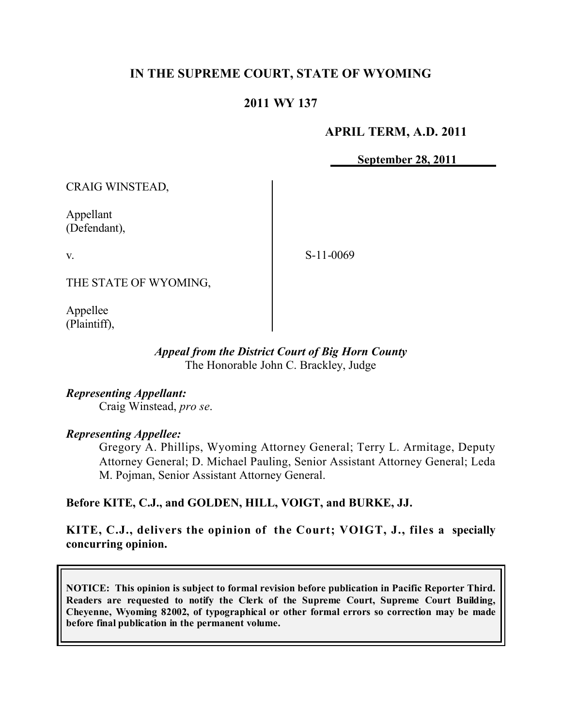# **IN THE SUPREME COURT, STATE OF WYOMING**

# **2011 WY 137**

### **APRIL TERM, A.D. 2011**

**September 28, 2011**

CRAIG WINSTEAD,

Appellant (Defendant),

v.

S-11-0069

THE STATE OF WYOMING,

Appellee (Plaintiff),

#### *Appeal from the District Court of Big Horn County* The Honorable John C. Brackley, Judge

*Representing Appellant:* Craig Winstead, *pro se*.

*Representing Appellee:*

Gregory A. Phillips, Wyoming Attorney General; Terry L. Armitage, Deputy Attorney General; D. Michael Pauling, Senior Assistant Attorney General; Leda M. Pojman, Senior Assistant Attorney General.

# **Before KITE, C.J., and GOLDEN, HILL, VOIGT, and BURKE, JJ.**

**KITE, C.J., delivers the opinion of the Court; VOIGT, J., files a specially concurring opinion.**

**NOTICE: This opinion is subject to formal revision before publication in Pacific Reporter Third. Readers are requested to notify the Clerk of the Supreme Court, Supreme Court Building, Cheyenne, Wyoming 82002, of typographical or other formal errors so correction may be made before final publication in the permanent volume.**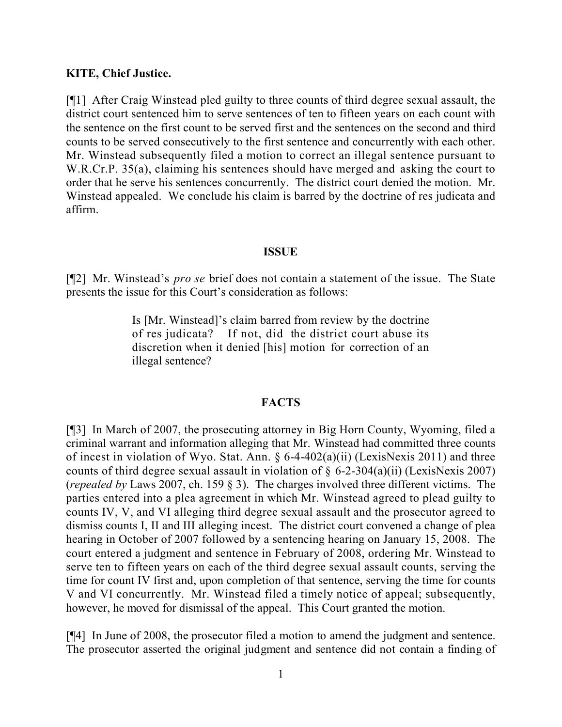### **KITE, Chief Justice.**

[¶1] After Craig Winstead pled guilty to three counts of third degree sexual assault, the district court sentenced him to serve sentences of ten to fifteen years on each count with the sentence on the first count to be served first and the sentences on the second and third counts to be served consecutively to the first sentence and concurrently with each other. Mr. Winstead subsequently filed a motion to correct an illegal sentence pursuant to W.R.Cr.P. 35(a), claiming his sentences should have merged and asking the court to order that he serve his sentences concurrently. The district court denied the motion. Mr. Winstead appealed. We conclude his claim is barred by the doctrine of res judicata and affirm.

#### **ISSUE**

[¶2] Mr. Winstead's *pro se* brief does not contain a statement of the issue. The State presents the issue for this Court's consideration as follows:

> Is [Mr. Winstead]'s claim barred from review by the doctrine of res judicata? If not, did the district court abuse its discretion when it denied [his] motion for correction of an illegal sentence?

#### **FACTS**

[¶3] In March of 2007, the prosecuting attorney in Big Horn County, Wyoming, filed a criminal warrant and information alleging that Mr. Winstead had committed three counts of incest in violation of Wyo. Stat. Ann. § 6-4-402(a)(ii) (LexisNexis 2011) and three counts of third degree sexual assault in violation of  $\S$  6-2-304(a)(ii) (LexisNexis 2007) (*repealed by* Laws 2007, ch. 159 § 3). The charges involved three different victims. The parties entered into a plea agreement in which Mr. Winstead agreed to plead guilty to counts IV, V, and VI alleging third degree sexual assault and the prosecutor agreed to dismiss counts I, II and III alleging incest. The district court convened a change of plea hearing in October of 2007 followed by a sentencing hearing on January 15, 2008. The court entered a judgment and sentence in February of 2008, ordering Mr. Winstead to serve ten to fifteen years on each of the third degree sexual assault counts, serving the time for count IV first and, upon completion of that sentence, serving the time for counts V and VI concurrently. Mr. Winstead filed a timely notice of appeal; subsequently, however, he moved for dismissal of the appeal. This Court granted the motion.

[¶4] In June of 2008, the prosecutor filed a motion to amend the judgment and sentence. The prosecutor asserted the original judgment and sentence did not contain a finding of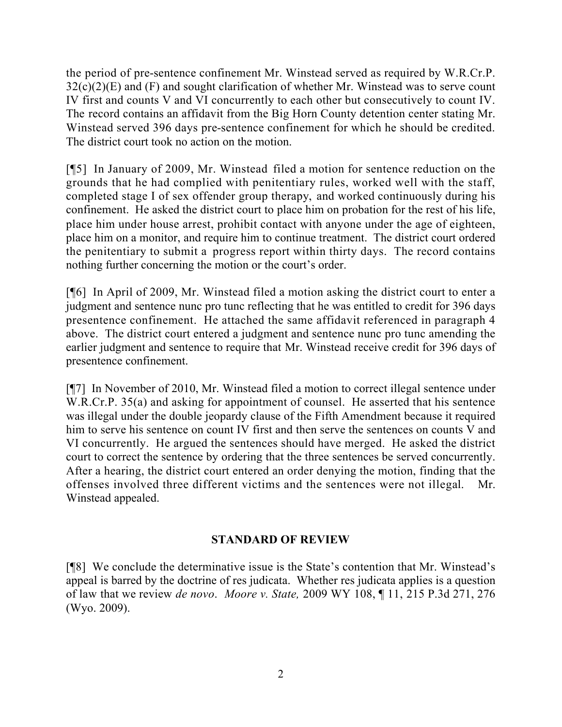the period of pre-sentence confinement Mr. Winstead served as required by W.R.Cr.P.  $32(c)(2)(E)$  and (F) and sought clarification of whether Mr. Winstead was to serve count IV first and counts V and VI concurrently to each other but consecutively to count IV. The record contains an affidavit from the Big Horn County detention center stating Mr. Winstead served 396 days pre-sentence confinement for which he should be credited. The district court took no action on the motion.

[¶5] In January of 2009, Mr. Winstead filed a motion for sentence reduction on the grounds that he had complied with penitentiary rules, worked well with the staff, completed stage I of sex offender group therapy, and worked continuously during his confinement. He asked the district court to place him on probation for the rest of his life, place him under house arrest, prohibit contact with anyone under the age of eighteen, place him on a monitor, and require him to continue treatment. The district court ordered the penitentiary to submit a progress report within thirty days. The record contains nothing further concerning the motion or the court's order.

[¶6] In April of 2009, Mr. Winstead filed a motion asking the district court to enter a judgment and sentence nunc pro tunc reflecting that he was entitled to credit for 396 days presentence confinement. He attached the same affidavit referenced in paragraph 4 above. The district court entered a judgment and sentence nunc pro tunc amending the earlier judgment and sentence to require that Mr. Winstead receive credit for 396 days of presentence confinement.

[¶7] In November of 2010, Mr. Winstead filed a motion to correct illegal sentence under W.R.Cr.P. 35(a) and asking for appointment of counsel. He asserted that his sentence was illegal under the double jeopardy clause of the Fifth Amendment because it required him to serve his sentence on count IV first and then serve the sentences on counts V and VI concurrently. He argued the sentences should have merged. He asked the district court to correct the sentence by ordering that the three sentences be served concurrently. After a hearing, the district court entered an order denying the motion, finding that the offenses involved three different victims and the sentences were not illegal. Mr. Winstead appealed.

# **STANDARD OF REVIEW**

[¶8] We conclude the determinative issue is the State's contention that Mr. Winstead's appeal is barred by the doctrine of res judicata. Whether res judicata applies is a question of law that we review *de novo*. *Moore v. State,* 2009 WY 108, ¶ 11, 215 P.3d 271, 276 (Wyo. 2009).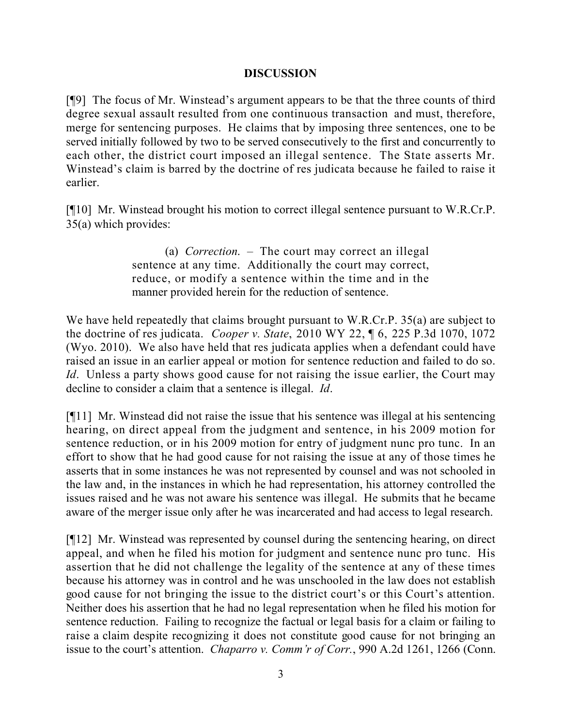### **DISCUSSION**

[¶9] The focus of Mr. Winstead's argument appears to be that the three counts of third degree sexual assault resulted from one continuous transaction and must, therefore, merge for sentencing purposes. He claims that by imposing three sentences, one to be served initially followed by two to be served consecutively to the first and concurrently to each other, the district court imposed an illegal sentence. The State asserts Mr. Winstead's claim is barred by the doctrine of res judicata because he failed to raise it earlier.

[¶10] Mr. Winstead brought his motion to correct illegal sentence pursuant to W.R.Cr.P. 35(a) which provides:

> (a) *Correction*. – The court may correct an illegal sentence at any time. Additionally the court may correct, reduce, or modify a sentence within the time and in the manner provided herein for the reduction of sentence.

We have held repeatedly that claims brought pursuant to W.R.Cr.P. 35(a) are subject to the doctrine of res judicata. *Cooper v. State*, 2010 WY 22, ¶ 6, 225 P.3d 1070, 1072 (Wyo. 2010). We also have held that res judicata applies when a defendant could have raised an issue in an earlier appeal or motion for sentence reduction and failed to do so. *Id.* Unless a party shows good cause for not raising the issue earlier, the Court may decline to consider a claim that a sentence is illegal. *Id*.

[¶11] Mr. Winstead did not raise the issue that his sentence was illegal at his sentencing hearing, on direct appeal from the judgment and sentence, in his 2009 motion for sentence reduction, or in his 2009 motion for entry of judgment nunc pro tunc. In an effort to show that he had good cause for not raising the issue at any of those times he asserts that in some instances he was not represented by counsel and was not schooled in the law and, in the instances in which he had representation, his attorney controlled the issues raised and he was not aware his sentence was illegal. He submits that he became aware of the merger issue only after he was incarcerated and had access to legal research.

[¶12] Mr. Winstead was represented by counsel during the sentencing hearing, on direct appeal, and when he filed his motion for judgment and sentence nunc pro tunc. His assertion that he did not challenge the legality of the sentence at any of these times because his attorney was in control and he was unschooled in the law does not establish good cause for not bringing the issue to the district court's or this Court's attention. Neither does his assertion that he had no legal representation when he filed his motion for sentence reduction. Failing to recognize the factual or legal basis for a claim or failing to raise a claim despite recognizing it does not constitute good cause for not bringing an issue to the court's attention. *Chaparro v. Comm'r of Corr.*, 990 A.2d 1261, 1266 (Conn.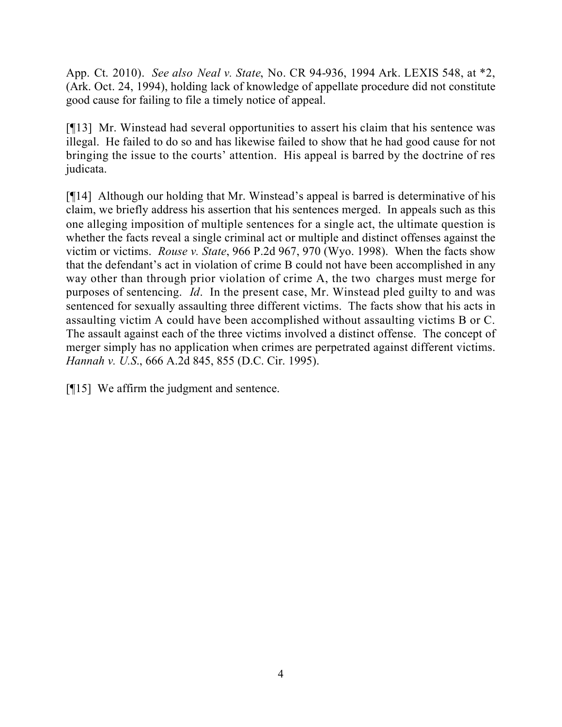App. Ct. 2010). *See also Neal v. State*, No. CR 94-936, 1994 Ark. LEXIS 548, at \*2, (Ark. Oct. 24, 1994), holding lack of knowledge of appellate procedure did not constitute good cause for failing to file a timely notice of appeal.

[¶13] Mr. Winstead had several opportunities to assert his claim that his sentence was illegal. He failed to do so and has likewise failed to show that he had good cause for not bringing the issue to the courts' attention. His appeal is barred by the doctrine of res judicata.

[¶14] Although our holding that Mr. Winstead's appeal is barred is determinative of his claim, we briefly address his assertion that his sentences merged. In appeals such as this one alleging imposition of multiple sentences for a single act, the ultimate question is whether the facts reveal a single criminal act or multiple and distinct offenses against the victim or victims. *Rouse v. State*, 966 P.2d 967, 970 (Wyo. 1998). When the facts show that the defendant's act in violation of crime B could not have been accomplished in any way other than through prior violation of crime A, the two charges must merge for purposes of sentencing. *Id*. In the present case, Mr. Winstead pled guilty to and was sentenced for sexually assaulting three different victims. The facts show that his acts in assaulting victim A could have been accomplished without assaulting victims B or C. The assault against each of the three victims involved a distinct offense. The concept of merger simply has no application when crimes are perpetrated against different victims. *Hannah v. U.S*., 666 A.2d 845, 855 (D.C. Cir. 1995).

[¶15] We affirm the judgment and sentence.